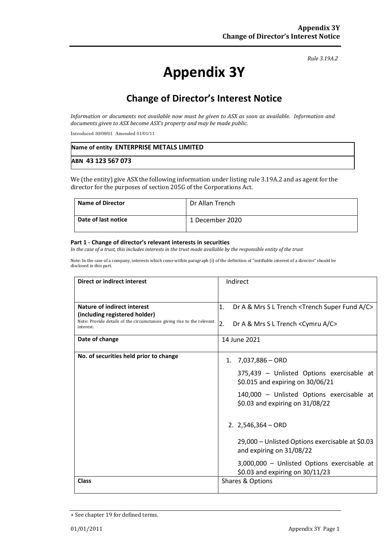#### *Rule 3.19A.2*

# **Appendix 3Y**

# **Change of Director's Interest Notice**

*Information or documents not available now must be given to ASX as soon as available. Information and documents given to ASX become ASX's property and may be made public.*

Introduced 30/09/01 Amended 01/01/11

| Name of entity ENTERPRISE METALS LIMITED |  |
|------------------------------------------|--|
| ABN 43 123 567 073                       |  |

We (the entity) give ASX the following information under listing rule 3.19A.2 and as agent for the director for the purposes of section 205G of the Corporations Act.

| <b>Name of Director</b> | Dr Allan Trench |
|-------------------------|-----------------|
| Date of last notice     | 1 December 2020 |

#### **Part 1 - Change of director's relevant interests in securities**

*In the case of a trust, this includes interests in the trust made available by the responsible entity of the trust*

Note: In the case of a company, interests which come within paragraph (i) of the definition of "notifiable interest of a director" should be disclosed in this part.

| <b>Direct or indirect interest</b>                                                  | Indirect                                                                         |  |
|-------------------------------------------------------------------------------------|----------------------------------------------------------------------------------|--|
|                                                                                     |                                                                                  |  |
| <b>Nature of indirect interest</b><br>(including registered holder)                 | Dr A & Mrs S L Trench <trench a="" c="" fund="" super=""><br/>1.</trench>        |  |
| Note: Provide details of the circumstances giving rise to the relevant<br>interest. | 2.<br>Dr A & Mrs S L Trench <cymru a="" c=""></cymru>                            |  |
| Date of change                                                                      | 14 June 2021                                                                     |  |
| No. of securities held prior to change                                              | 7,037,886 - ORD<br>1.                                                            |  |
|                                                                                     | 375,439 - Unlisted Options exercisable at<br>\$0.015 and expiring on 30/06/21    |  |
|                                                                                     | 140,000 - Unlisted Options exercisable at<br>\$0.03 and expiring on 31/08/22     |  |
|                                                                                     | 2. $2,546,364 - ORD$                                                             |  |
|                                                                                     | 29,000 - Unlisted Options exercisable at \$0.03<br>and expiring on 31/08/22      |  |
|                                                                                     | 3,000,000 - Unlisted Options exercisable at<br>\$0.03 and expiring on $30/11/23$ |  |
| <b>Class</b>                                                                        | Shares & Options                                                                 |  |

<sup>+</sup> See chapter 19 for defined terms.